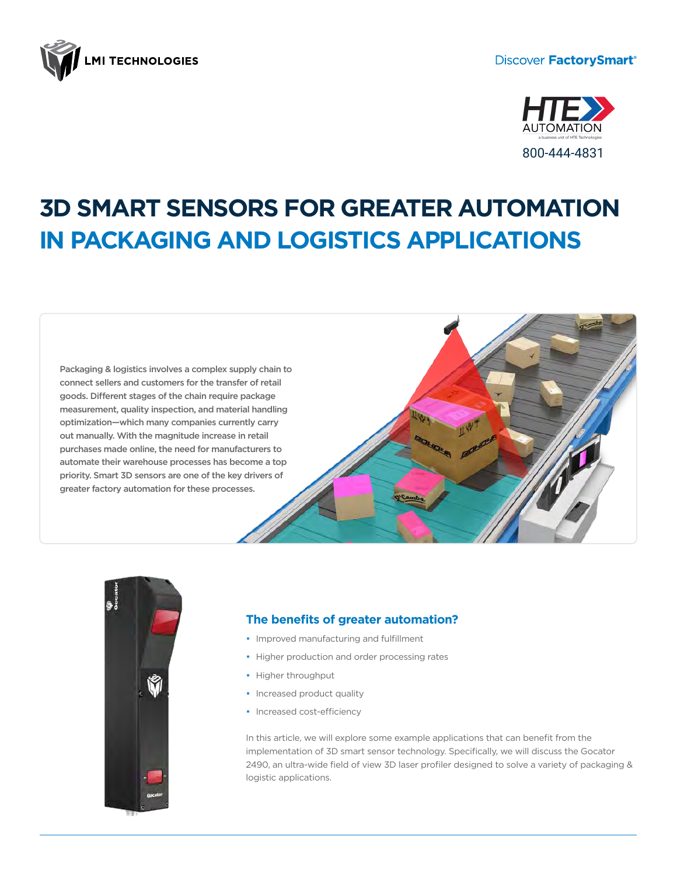

# **Discover FactorySmart®**



# **3D SMART SENSORS FOR GREATER AUTOMATION IN PACKAGING AND LOGISTICS APPLICATIONS**

Packaging & logistics involves a complex supply chain to connect sellers and customers for the transfer of retail goods. Different stages of the chain require package measurement, quality inspection, and material handling optimization—which many companies currently carry out manually. With the magnitude increase in retail purchases made online, the need for manufacturers to automate their warehouse processes has become a top priority. Smart 3D sensors are one of the key drivers of greater factory automation for these processes.





# **The benefits of greater automation?**

- **•** Improved manufacturing and fulfillment
- **•** Higher production and order processing rates
- **•** Higher throughput
- **•** Increased product quality
- **•** Increased cost-efficiency

In this article, we will explore some example applications that can benefit from the implementation of 3D smart sensor technology. Specifically, we will discuss the Gocator 2490, an ultra-wide field of view 3D laser profiler designed to solve a variety of packaging & logistic applications.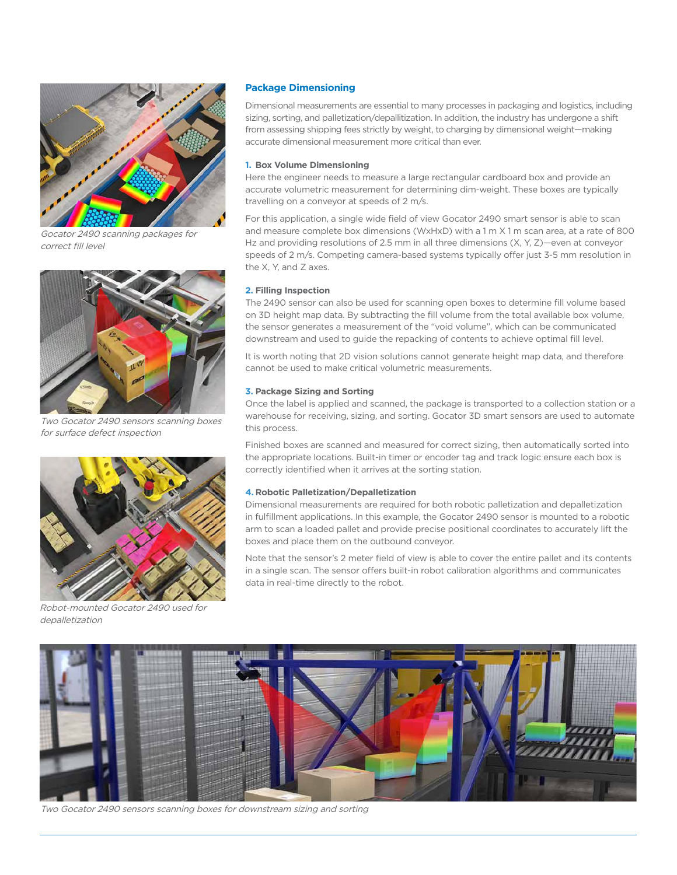

Gocator 2490 scanning packages for correct fill level



Two Gocator 2490 sensors scanning boxes for surface defect inspection



Robot-mounted Gocator 2490 used for depalletization

## **Package Dimensioning**

Dimensional measurements are essential to many processes in packaging and logistics, including sizing, sorting, and palletization/depallitization. In addition, the industry has undergone a shift from assessing shipping fees strictly by weight, to charging by dimensional weight—making accurate dimensional measurement more critical than ever.

#### **1. Box Volume Dimensioning**

Here the engineer needs to measure a large rectangular cardboard box and provide an accurate volumetric measurement for determining dim-weight. These boxes are typically travelling on a conveyor at speeds of 2 m/s.

For this application, a single wide field of view Gocator 2490 smart sensor is able to scan and measure complete box dimensions (WxHxD) with a 1 m X 1 m scan area, at a rate of 800 Hz and providing resolutions of 2.5 mm in all three dimensions  $(X, Y, Z)$ —even at conveyor speeds of 2 m/s. Competing camera-based systems typically offer just 3-5 mm resolution in the X, Y, and Z axes.

## **2. Filling Inspection**

The 2490 sensor can also be used for scanning open boxes to determine fill volume based on 3D height map data. By subtracting the fill volume from the total available box volume, the sensor generates a measurement of the "void volume", which can be communicated downstream and used to guide the repacking of contents to achieve optimal fill level.

It is worth noting that 2D vision solutions cannot generate height map data, and therefore cannot be used to make critical volumetric measurements.

#### **3. Package Sizing and Sorting**

Once the label is applied and scanned, the package is transported to a collection station or a warehouse for receiving, sizing, and sorting. Gocator 3D smart sensors are used to automate this process.

Finished boxes are scanned and measured for correct sizing, then automatically sorted into the appropriate locations. Built-in timer or encoder tag and track logic ensure each box is correctly identified when it arrives at the sorting station.

#### **4. Robotic Palletization/Depalletization**

Dimensional measurements are required for both robotic palletization and depalletization in fulfillment applications. In this example, the Gocator 2490 sensor is mounted to a robotic arm to scan a loaded pallet and provide precise positional coordinates to accurately lift the boxes and place them on the outbound conveyor.

Note that the sensor's 2 meter field of view is able to cover the entire pallet and its contents in a single scan. The sensor offers built-in robot calibration algorithms and communicates data in real-time directly to the robot.



Two Gocator 2490 sensors scanning boxes for downstream sizing and sorting